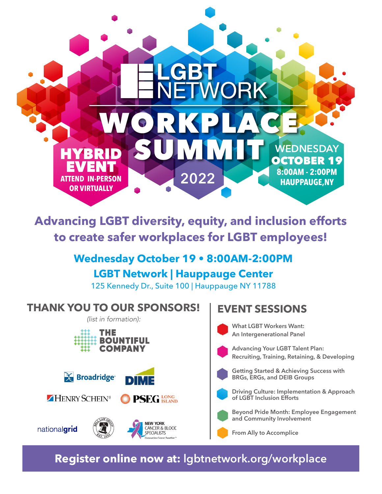

**Advancing LGBT diversity, equity, and inclusion efforts to create safer workplaces for LGBT employees! 2019 2019 2019**

#### **I** Wednesday October 19 • 8:00AM-2:00PM **LGBT Network | Hauppauge Center** LODI NEUVOIR | HAUPPAUGE CEILEI **The LGBT Network is holding Long Island's first-ever LGBT Workplace Summit! The LGBT ISLANDE ISLANDE ISLANDE ISLANDE ISLANDE ISLANDE ISLANDE ISLAND ISLAND ISLAND ISLAND ISLAND ISLAND ISLAND ISLAND ISLAND ISLAND ISLAND ISLANDE ISLANDE ISLANDE ISLANDE ISLANDE ISLANDE ISLANDE ISLANDE ISLANDE ISLAN Example 2018 The Second Library Second Library Content Contract Contract Contract Contract Contract Contract Contract Contract Contract Contract Contract Contract Contract Contract Contract Contract Contract Contract Cont**

125 Kennedy Dr., Suite 100 | Hauppauge NY 11788 *and inclusion efforts in the workplace to create safer spaces for LGBT employees.* T25 Kennedy Dr., Suite T00 | Hauppauge NT 11766  $125$  Konnedy Dr. Suite  $100$  Hounnouge NV 11799 *and inclusion efforts in the workplace to create safer spaces for LGBT employees.*

## **THANK YOU TO OUR SPONSORS!**

 $R$  (list in formation):













**NEW YORK** CANCER & BLOOD **SPECIALISTS** 

#### **WORKSHOP TOPICS:**  $EVENT SESSIONS$ **Human Resource Guidance for**

What LGBT Workers Want: **An Intergenerational Panel Recruitment and Retention Recruitment and Retention Recruitment and Retention Policies to Create LGBT-Inclusive**

Advancing Your LGBT Talent Plan: **Recruiting, Training, Retaining, & Developing and Affirming Workplaces and Affirming Workplaces Policies to Create LGBT-Inclusive kecrulting, framing, Ketaming,** 

**Getting Started & Achieving Success with Inclusive Construction**<br> **BRGs, ERGs, and DEIB Groups** 

**Driving Culture: Implementation & Approach Building Support in promonts**<br> **Of LGBT** Inclusion Efforts

**Legiona Fride Month: Employe**<br>And Community Involvement **Groups and Community Involvement LGBT Employee Resource LGBT Employee Resource Groups Beyond Pride Month: Employee Engagement LGBT Employee Resource Building Allies**

**From Ally to Accomplice** 

**Register online now at: lgbtnetwork.org/workplace**